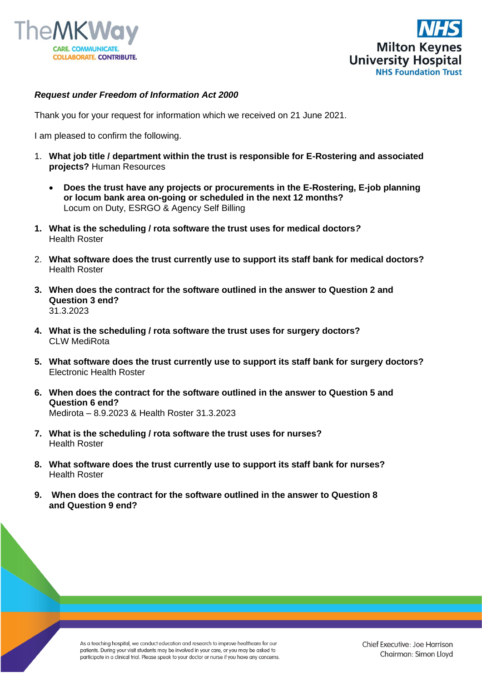



## *Request under Freedom of Information Act 2000*

Thank you for your request for information which we received on 21 June 2021.

I am pleased to confirm the following.

- 1. **What job title / department within the trust is responsible for E-Rostering and associated projects?** Human Resources
	- **Does the trust have any projects or procurements in the E-Rostering, E-job planning or locum bank area on-going or scheduled in the next 12 months?**  Locum on Duty, ESRGO & Agency Self Billing
- **1. What is the scheduling / rota software the trust uses for medical doctors***?* Health Roster
- 2. **What software does the trust currently use to support its staff bank for medical doctors?** Health Roster
- **3. When does the contract for the software outlined in the answer to Question 2 and Question 3 end?** 31.3.2023
- **4. What is the scheduling / rota software the trust uses for surgery doctors?** CLW MediRota
- **5. What software does the trust currently use to support its staff bank for surgery doctors?** Electronic Health Roster
- **6. When does the contract for the software outlined in the answer to Question 5 and Question 6 end?**  Medirota – 8.9.2023 & Health Roster 31.3.2023
- **7. What is the scheduling / rota software the trust uses for nurses?** Health Roster
- **8. What software does the trust currently use to support its staff bank for nurses?** Health Roster
- **9. When does the contract for the software outlined in the answer to Question 8 and Question 9 end?**

As a teaching hospital, we conduct education and research to improve healthcare for our patients. During your visit students may be involved in your care, or you may be asked to participate in a clinical trial. Please speak to your doctor or nurse if you have any concerns.